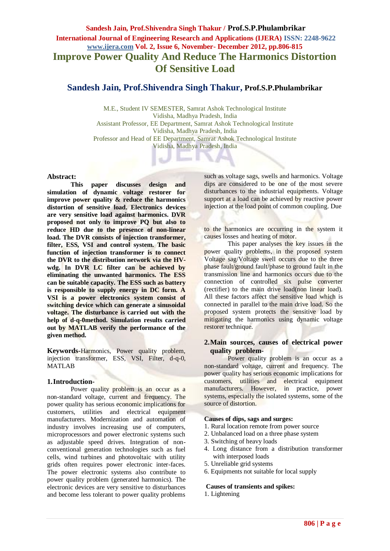# **Sandesh Jain, Prof.Shivendra Singh Thakur / Prof.S.P.Phulambrikar International Journal of Engineering Research and Applications (IJERA) ISSN: 2248-9622 www.ijera.com Vol. 2, Issue 6, November- December 2012, pp.806-815 Improve Power Quality And Reduce The Harmonics Distortion Of Sensitive Load**

# **Sandesh Jain, Prof.Shivendra Singh Thakur, Prof.S.P.Phulambrikar**

M.E., Student IV SEMESTER, Samrat Ashok Technological Institute Vidisha, Madhya Pradesh, India Assistant Professor, EE Department, Samrat Ashok Technological Institute Vidisha, Madhya Pradesh, India Professor and Head of EE Department, Samrat Ashok Technological Institute Vidisha, Madhya Pradesh, India

## **Abstract:**

**This paper discusses design and simulation of dynamic voltage restorer for improve power quality & reduce the harmonics distortion of sensitive load. Electronics devices are very sensitive load against harmonics. DVR proposed not only to improve PQ but also to reduce HD due to the presence of non-linear load. The DVR consists of injection transformer, filter, ESS, VSI and control system. The basic function of injection transformer is to connect the DVR to the distribution network via the HVwdg. In DVR LC filter can be achieved by eliminating the unwanted harmonics. The ESS can be suitable capacity. The ESS such as battery is responsible to supply energy in DC form. A VSI is a power electronics system consist of switching device which can generate a sinusoidal voltage. The disturbance is carried out with the help of d-q-0method. Simulation results carried out by MATLAB verify the performance of the given method.**

**Keywords-**Harmonics, Power quality problem, injection transformer, ESS, VSI, Filter, d-q-0, MATLAB

## **1.Introduction-**

Power quality problem is an occur as a non-standard voltage, current and frequency. The power quality has serious economic implications for customers, utilities and electrical equipment manufacturers. Modernization and automation of industry involves increasing use of computers, microprocessors and power electronic systems such as adjustable speed drives. Integration of nonconventional generation technologies such as fuel cells, wind turbines and photovoltaic with utility grids often requires power electronic inter-faces. The power electronic systems also contribute to power quality problem (generated harmonics). The electronic devices are very sensitive to disturbances and become less tolerant to power quality problems such as voltage sags, swells and harmonics. Voltage dips are considered to be one of the most severe disturbances to the industrial equipments. Voltage support at a load can be achieved by reactive power injection at the load point of common coupling. Due

to the harmonics are occurring in the system it causes losses and heating of motor.

This paper analyses the key issues in the power quality problems, in the proposed system Voltage sag/Voltage swell occurs due to the three phase fault/ground fault/phase to ground fault in the transmission line and harmonics occurs due to the connection of controlled six pulse converter (rectifier) to the main drive load(non linear load). All these factors affect the sensitive load which is connected in parallel to the main drive load. So the proposed system protects the sensitive load by mitigating the harmonics using dynamic voltage restorer technique.

## **2.Main sources, causes of electrical power quality problem-**

Power quality problem is an occur as a non-standard voltage, current and frequency. The power quality has serious economic implications for customers, utilities and electrical equipment manufacturers. However, in practice, power systems, especially the isolated systems, some of the source of distortion.

#### **Causes of dips, sags and surges:**

- 1. Rural location remote from power source
- 2. Unbalanced load on a three phase system
- 3. Switching of heavy loads
- 4. Long distance from a distribution transformer with interposed loads
- 5. Unreliable grid systems
- 6. Equipments not suitable for local supply

#### **Causes of transients and spikes:**

1. Lightening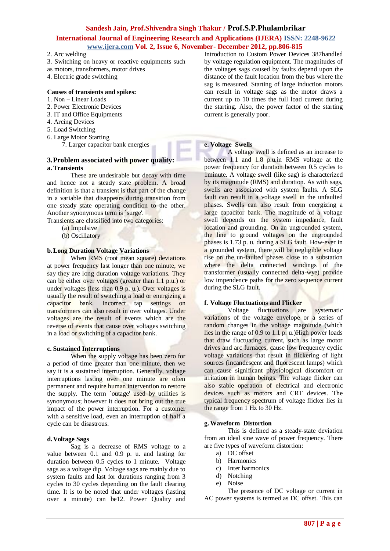# **International Journal of Engineering Research and Applications (IJERA) ISSN: 2248-9622 www.ijera.com Vol. 2, Issue 6, November- December 2012, pp.806-815**

- 2. Arc welding
- 3. Switching on heavy or reactive equipments such
- as motors, transformers, motor drives
- 4. Electric grade switching

#### **Causes of transients and spikes:**

- 1. Non Linear Loads
- 2. Power Electronic Devices
- 3. IT and Office Equipments
- 4. Arcing Devices
- 5. Load Switching
- 6. Large Motor Starting

7. Larger capacitor bank energies

## **3.Problem associated with power quality: a.Transients**

These are undesirable but decay with time and hence not a steady state problem. A broad definition is that a transient is that part of the change in a variable that disappears during transition from one steady state operating condition to the other. Another synonymous term is `surge'.

Transients are classified into two categories:

- (a) Impulsive
- (b) Oscillatory

## **b.Long Duration Voltage Variations**

When RMS (root mean square) deviations at power frequency last longer than one minute, we say they are long duration voltage variations. They can be either over voltages (greater than 1.1 p.u.) or under voltages (less than 0.9 p. u.). Over voltages is usually the result of switching a load or energizing a capacitor bank. Incorrect tap settings on transformers can also result in over voltages. Under voltages are the result of events which are the reverse of events that cause over voltages switching in a load or switching of a capacitor bank.

#### **c. Sustained Interruptions**

When the supply voltage has been zero for a period of time greater than one minute, then we say it is a sustained interruption. Generally, voltage interruptions lasting over one minute are often permanent and require human intervention to restore the supply. The term `outage' used by utilities is synonymous; however it does not bring out the true impact of the power interruption. For a customer with a sensitive load, even an interruption of half a cycle can be disastrous.

#### **d.Voltage Sags**

Sag is a decrease of RMS voltage to a value between 0.1 and 0.9 p. u. and lasting for duration between 0.5 cycles to 1 minute. Voltage sags as a voltage dip. Voltage sags are mainly due to system faults and last for durations ranging from 3 cycles to 30 cycles depending on the fault clearing time. It is to be noted that under voltages (lasting over a minute) can be12. Power Quality and

Introduction to Custom Power Devices 387handled by voltage regulation equipment. The magnitudes of the voltages sags caused by faults depend upon the distance of the fault location from the bus where the sag is measured. Starting of large induction motors can result in voltage sags as the motor draws a current up to 10 times the full load current during the starting. Also, the power factor of the starting current is generally poor.

#### **e. Voltage Swells**

A voltage swell is defined as an increase to between 1.1 and 1.8 p.u.in RMS voltage at the power frequency for duration between 0.5 cycles to 1minute. A voltage swell (like sag) is characterized by its magnitude (RMS) and duration. As with sags, swells are associated with system faults. A SLG fault can result in a voltage swell in the unfaulted phases. Swells can also result from energizing a large capacitor bank. The magnitude of a voltage swell depends on the system impedance, fault location and grounding. On an ungrounded system, the line to ground voltages on the ungrounded phases is 1.73 p. u. during a SLG fault. How-ever in a grounded system, there will be negligible voltage rise on the un-faulted phases close to a substation where the delta connected windings of the transformer (usually connected delta-wye) provide low impendence paths for the zero sequence current during the SLG fault.

#### **f. Voltage Fluctuations and Flicker**

Voltage fluctuations are systematic variations of the voltage envelope or a series of random changes in the voltage magnitude (which lies in the range of 0.9 to 1.1 p. u.)High power loads that draw fluctuating current, such as large motor drives and arc furnaces, cause low frequency cyclic voltage variations that result in flickering of light sources (incandescent and fluorescent lamps) which can cause significant physiological discomfort or irritation in human beings. The voltage flicker can also stable operation of electrical and electronic devices such as motors and CRT devices. The typical frequency spectrum of voltage flicker lies in the range from 1 Hz to 30 Hz.

## **g.Waveform Distortion**

This is defined as a steady-state deviation from an ideal sine wave of power frequency. There are five types of waveform distortion:

- a) DC offset
- b) Harmonics
- c) Inter harmonics
- d) Notching
- e) Noise

The presence of DC voltage or current in AC power systems is termed as DC offset. This can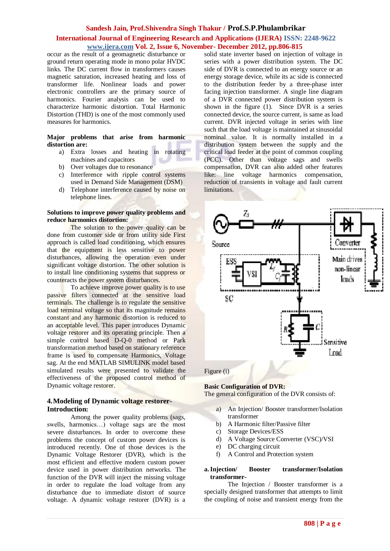# **International Journal of Engineering Research and Applications (IJERA) ISSN: 2248-9622 www.ijera.com Vol. 2, Issue 6, November- December 2012, pp.806-815**

occur as the result of a geomagnetic disturbance or ground return operating mode in mono polar HVDC links. The DC current flow in transformers causes magnetic saturation, increased heating and loss of transformer life. Nonlinear loads and power electronic controllers are the primary source of harmonics. Fourier analysis can be used to characterize harmonic distortion. Total Harmonic Distortion (THD) is one of the most commonly used measures for harmonics.

#### **Major problems that arise from harmonic distortion are:**

- a) Extra losses and heating in rotating machines and capacitors
- b) Over voltages due to resonance
- c) Interference with ripple control systems used in Demand Side Management (DSM)
- d) Telephone interference caused by noise on telephone lines.

#### **Solutions to improve power quality problems and reduce harmonics distortion:**

The solution to the power quality can be done from customer side or from utility side First approach is called load conditioning, which ensures that the equipment is less sensitive to power disturbances, allowing the operation even under significant voltage distortion. The other solution is to install line conditioning systems that suppress or counteracts the power system disturbances.

To achieve improve power quality is to use passive filters connected at the sensitive load terminals. The challenge is to regulate the sensitive load terminal voltage so that its magnitude remains constant and any harmonic distortion is reduced to an acceptable level. This paper introduces Dynamic voltage restorer and its operating principle. Then a simple control based D-Q-0 method or Park transformation method based on stationary reference frame is used to compensate Harmonics, Voltage sag. At the end MATLAB SIMULINK model based simulated results were presented to validate the effectiveness of the proposed control method of Dynamic voltage restorer.

## **4.Modeling of Dynamic voltage restorer-Introduction:**

Among the power quality problems (sags, swells, harmonics…) voltage sags are the most severe disturbances. In order to overcome these problems the concept of custom power devices is introduced recently. One of those devices is the Dynamic Voltage Restorer (DVR), which is the most efficient and effective modern custom power device used in power distribution networks. The function of the DVR will inject the missing voltage in order to regulate the load voltage from any disturbance due to immediate distort of source voltage. A dynamic voltage restorer (DVR) is a

solid state inverter based on injection of voltage in series with a power distribution system. The DC side of DVR is connected to an energy source or an energy storage device, while its ac side is connected to the distribution feeder by a three-phase inter facing injection transformer. A single line diagram of a DVR connected power distribution system is shown in the figure  $(1)$ . Since DVR is a series connected device, the source current, is same as load current. DVR injected voltage in series with line such that the load voltage is maintained at sinusoidal nominal value. It is normally installed in a distribution system between the supply and the critical load feeder at the point of common coupling (PCC). Other than voltage sags and swells compensation, DVR can also added other features like: line voltage harmonics compensation, reduction of transients in voltage and fault current limitations.



Figure (i)

## **Basic Configuration of DVR:**

The general configuration of the DVR consists of:

- a) An Injection/ Booster transformer/Isolation transformer
- b) A Harmonic filter/Passive filter
- c) Storage Devices/ESS
- d) A Voltage Source Converter (VSC)/VSI
- e) DC charging circuit
- f) A Control and Protection system

#### **a.Injection/ Booster transformer/Isolation transformer-**

The Injection / Booster transformer is a specially designed transformer that attempts to limit the coupling of noise and transient energy from the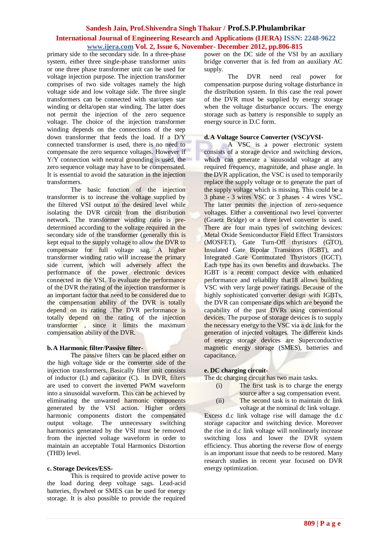# **International Journal of Engineering Research and Applications (IJERA) ISSN: 2248-9622 www.ijera.com Vol. 2, Issue 6, November- December 2012, pp.806-815**

primary side to the secondary side. In a three-phase system, either three single-phase transformer units or one three phase transformer unit can be used for voltage injection purpose. The injection transformer comprises of two side voltages namely the high voltage side and low voltage side. The three single transformers can be connected with star/open star winding or delta/open star winding. The latter does not permit the injection of the zero sequence voltage. The choice of the injection transformer winding depends on the connections of the step down transformer that feeds the load. If a D/Y connected transformer is used, there is no need to compensate the zero sequence voltages. However if Y/Y connection with neutral grounding is used, the zero sequence voltage may have to be compensated. It is essential to avoid the saturation in the injection transformers.

The basic function of the injection transformer is to increase the voltage supplied by the filtered VSI output to the desired level while isolating the DVR circuit from the distribution network. The transformer winding ratio is predetermined according to the voltage required in the secondary side of the transformer (generally this is kept equal to the supply voltage to allow the DVR to compensate for full voltage sag. A higher transformer winding ratio will increase the primary side current, which will adversely affect the performance of the power electronic devices connected in the VSI. To evaluate the performance of the DVR the rating of the injection transformer is an important factor that need to be considered due to the compensation ability of the DVR is totally depend on its rating .The DVR performance is totally depend on the rating of the injection transformer , since it limits the maximum compensation ability of the DVR.

## **b.A Harmonic filter/Passive filter-**

The passive filters can be placed either on the high voltage side or the converter side of the injection transformers. Basically filter unit consists of inductor (L) and capacitor (C). In DVR, filters are used to convert the inverted PWM waveform into a sinusoidal waveform. This can be achieved by eliminating the unwanted harmonic components generated by the VSI action. Higher orders harmonic components distort the compensated<br>output voltage. The unnecessary switching voltage. The unnecessary switching harmonics generated by the VSI must be removed from the injected voltage waveform in order to maintain an acceptable Total Harmonics Distortion (THD) level.

#### **c. Storage Devices/ESS-**

This is required to provide active power to the load during deep voltage sags. Lead-acid batteries, flywheel or SMES can be used for energy storage. It is also possible to provide the required

power on the DC side of the VSI by an auxiliary bridge converter that is fed from an auxiliary AC supply.

The DVR need real power for compensation purpose during voltage disturbance in the distribution system. In this case the real power of the DVR must be supplied by energy storage when the voltage disturbance occurs. The energy storage such as battery is responsible to supply an energy source in D.C form.

#### **d.A Voltage Source Converter (VSC)/VSI-**

A VSC is a power electronic system consists of a storage device and switching devices, which can generate a sinusoidal voltage at any required frequency, magnitude, and phase angle. In the DVR application, the VSC is used to temporarily replace the supply voltage or to generate the part of the supply voltage which is missing. This could be a 3 phase - 3 wires VSC or 3 phases - 4 wires VSC. The latter permits the injection of zero-sequence voltages. Either a conventional two level converter (Graetz Bridge) or a three level converter is used. There are four main types of switching devices: Metal Oxide Semiconductor Field Effect Transistors (MOSFET), Gate Turn-Off thyristors (GTO), Insulated Gate Bipolar Transistors (IGBT), and Integrated Gate Commutated Thyristors (IGCT). Each type has its own benefits and drawbacks. The IGBT is a recent compact device with enhanced performance and reliability that18 allows building VSC with very large power ratings. Because of the highly sophisticated converter design with IGBTs, the DVR can compensate dips which are beyond the capability of the past DVRs using conventional devices. The purpose of storage devices is to supply the necessary energy to the VSC via a dc link for the generation of injected voltages. The different kinds of energy storage devices are Superconductive magnetic energy storage (SMES), batteries and capacitance.

# **e. DC charging circuit-**

#### The dc charging circuit has two main tasks.

- (i) The first task is to charge the energy
	- source after a sag compensation event.
- (ii) The second task is to maintain dc link voltage at the nominal dc link voltage.

Excess d.c link voltage rise will damage the d.c storage capacitor and switching device. Moreover the rise in d.c link voltage will nonlinearly increase switching loss and lower the DVR system efficiency. Thus aborting the reverse flow of energy is an important issue that needs to be restored. Many research studies in recent year focused on DVR energy optimization.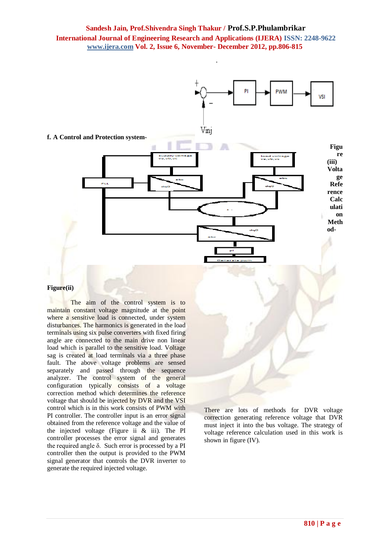# **Sandesh Jain, Prof.Shivendra Singh Thakur / Prof.S.P.Phulambrikar International Journal of Engineering Research and Applications (IJERA) ISSN: 2248-9622 www.ijera.com Vol. 2, Issue 6, November- December 2012, pp.806-815**



#### **Figure(ii)**

The aim of the control system is to maintain constant voltage magnitude at the point where a sensitive load is connected, under system disturbances. The harmonics is generated in the load terminals using six pulse converters with fixed firing angle are connected to the main drive non linear load which is parallel to the sensitive load. Voltage sag is created at load terminals via a three phase fault. The above voltage problems are sensed separately and passed through the sequence analyzer. The control system of the general configuration typically consists of a voltage correction method which determines the reference voltage that should be injected by DVR and the VSI control which is in this work consists of PWM with PI controller. The controller input is an error signal obtained from the reference voltage and the value of the injected voltage (Figure ii & iii). The PI controller processes the error signal and generates the required angle δ. Such error is processed by a PI controller then the output is provided to the PWM signal generator that controls the DVR inverter to generate the required injected voltage.

There are lots of methods for DVR voltage correction generating reference voltage that DVR must inject it into the bus voltage. The strategy of voltage reference calculation used in this work is shown in figure (IV).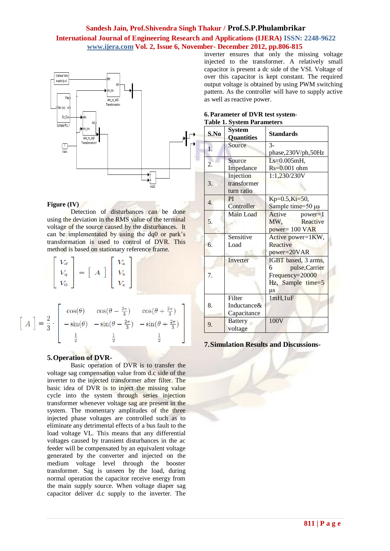# **Sandesh Jain, Prof.Shivendra Singh Thakur / Prof.S.P.Phulambrikar International Journal of Engineering Research and Applications (IJERA) ISSN: 2248-9622 www.ijera.com Vol. 2, Issue 6, November- December 2012, pp.806-815**



#### **Figure (IV)**

Detection of disturbances can be done using the deviation in the RMS value of the terminal voltage of the source caused by the disturbances. It can be implementated by using the dq0 or park's transformation is used to control of DVR. This method is based on stationary reference frame.

| $\mathcal{N}_{\boldsymbol{d}}$ |                       | V <sub>a</sub> |
|--------------------------------|-----------------------|----------------|
|                                | $\boldsymbol{A}$<br>= |                |
|                                |                       | J.<br>c        |

$$
\left[\begin{array}{c}A\end{array}\right] = \frac{2}{3} \cdot \left[\begin{array}{ccc} \cos(\theta) & \cos(\theta - \frac{2\pi}{3}) & \cos(\theta + \frac{2\pi}{3}) \\ -\sin(\theta) & -\sin(\theta - \frac{2\pi}{3}) & -\sin(\theta + \frac{2\pi}{3}) \\ \frac{1}{2} & \frac{1}{2} & \frac{1}{2} \end{array}\right]
$$

#### **5.Operation of DVR-**

Basic operation of DVR is to transfer the voltage sag compensation value from d.c side of the inverter to the injected transformer after filter. The basic idea of DVR is to inject the missing value cycle into the system through series injection transformer whenever voltage sag are present in the system. The momentary amplitudes of the three injected phase voltages are controlled such as to eliminate any detrimental effects of a bus fault to the load voltage VL. This means that any differential voltages caused by transient disturbances in the ac feeder will be compensated by an equivalent voltage generated by the converter and injected on the medium voltage level through the booster transformer. Sag is unseen by the load, during normal operation the capacitor receive energy from the main supply source. When voltage diaper sag capacitor deliver d.c supply to the inverter. The inverter ensures that only the missing voltage injected to the transformer. A relatively small capacitor is present a dc side of the VSI. Voltage of over this capacitor is kept constant. The required output voltage is obtained by using PWM switching pattern. As the controller will have to supply active as well as reactive power.

| 6. Parameter of DVR test system-  |  |  |
|-----------------------------------|--|--|
| <b>Table 1. System Parameters</b> |  |  |

| S.No             | <b>System</b><br><b>Quantities</b>     | Standards                                                                                     |
|------------------|----------------------------------------|-----------------------------------------------------------------------------------------------|
| $\overline{1}$ . | Source                                 | $3 -$<br>phase,230V/ph,50Hz                                                                   |
| 2.               | Source<br>Impedance                    | $Ls=0.005mH,$<br>$Rs = 0.001$ ohm                                                             |
| 3.               | Injection<br>transformer<br>turn ratio | 1:1,230/230V                                                                                  |
| $\overline{4}$ . | PI<br>Controller                       | $Kp=0.5, Ki=50,$<br>Sample time= $50 \mu s$                                                   |
| 5.               | Main Load                              | Active<br>power=1<br>Reactive<br>MW,<br>power= 100 VAR                                        |
| б.               | Sensitive<br>Load                      | Active power=1KW,<br>Reactive<br>power=20VAR                                                  |
| 7.               | Inverter                               | IGBT based, 3 arms,<br>pulse, Carrier<br>6<br>Frequency=20000<br>Hz, Sample time=5<br>$\mu$ s |
| 8.               | Filter<br>Inductance&<br>Capacitance   | 1mH, 1uF                                                                                      |
| 9.               | <b>Battery</b><br>voltage              | 100V                                                                                          |

**7.Simulation Results and Discussions-**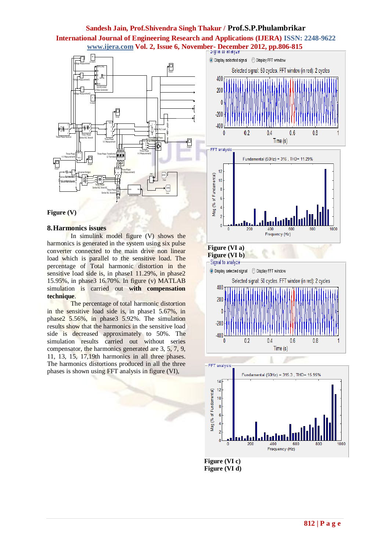# **Sandesh Jain, Prof.Shivendra Singh Thakur / Prof.S.P.Phulambrikar International Journal of Engineering Research and Applications (IJERA) ISSN: 2248-9622**  al<br><u>"N</u>





## **8.Harmonics issues**

In simulink model figure (V) shows the harmonics is generated in the system using six pulse converter connected to the main drive non linear load which is parallel to the sensitive load. The percentage of Total harmonic distortion in the sensitive load side is, in phase1 11.29%, in phase2 15.95%, in phase3 16.70%. In figure (v) MATLAB simulation is carried out **with compensation technique**.

The percentage of total harmonic distortion in the sensitive load side is, in phase1 5.67%, in phase2 5.56%, in phase3 5.92%. The simulation results show that the harmonics in the sensitive load side is decreased approximately to 50%. The simulation results carried out without series compensator, the harmonics generated are 3, 5, 7, 9, 11, 13, 15, 17,19th harmonics in all three phases. The harmonics distortions produced in all the three phases is shown using FFT analysis in figure (VI),







**Figure (VI b)**





**Figure (VI c) Figure (VI d)**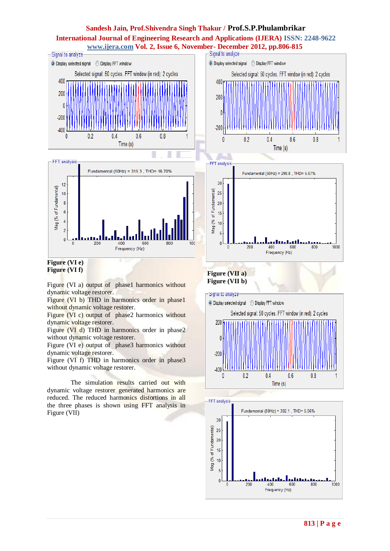# **Sandesh Jain, Prof.Shivendra Singh Thakur / Prof.S.P.Phulambrikar International Journal of Engineering Research and Applications (IJERA) ISSN: 2248-9622**



Figure (VI a) output of phase1 harmonics without dynamic voltage restorer.

Figure (VI b) THD in harmonics order in phase1 without dynamic voltage restorer.

Figure (VI c) output of phase2 harmonics without dynamic voltage restorer.

Figure (VI d) THD in harmonics order in phase2 without dynamic voltage restorer.

Figure (VI e) output of phase3 harmonics without dynamic voltage restorer.

Figure (VI f) THD in harmonics order in phase3 without dynamic voltage restorer.

The simulation results carried out with dynamic voltage restorer generated harmonics are reduced. The reduced harmonics distortions in all the three phases is shown using FFT analysis in Figure (VII)

# **Figure (VII b)**





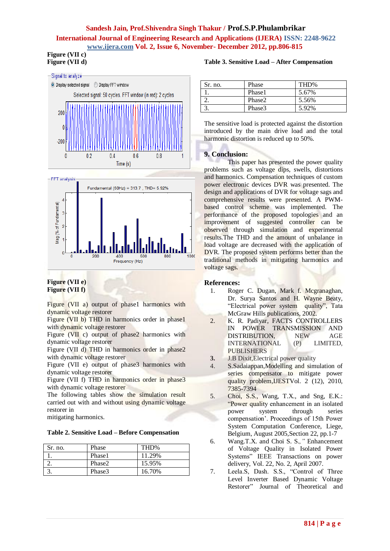# **Sandesh Jain, Prof.Shivendra Singh Thakur / Prof.S.P.Phulambrikar International Journal of Engineering Research and Applications (IJERA) ISSN: 2248-9622 www.ijera.com Vol. 2, Issue 6, November- December 2012, pp.806-815**

#### **Figure (VII c) Figure (VII d)**





# **Figure (VII e) Figure (VII f)**

Figure (VII a) output of phase1 harmonics with dynamic voltage restorer

Figure (VII b) THD in harmonics order in phase1 with dynamic voltage restorer

Figure (VII c) output of phase2 harmonics with dynamic voltage restorer

Figure (VII d) THD in harmonics order in phase2 with dynamic voltage restorer

Figure (VII e) output of phase3 harmonics with dynamic voltage restorer

Figure (VII f) THD in harmonics order in phase3 with dynamic voltage restorer

The following tables show the simulation result carried out with and without using dynamic voltage restorer in

mitigating harmonics.

|  |  |  | Table 2. Sensitive Load – Before Compensation |
|--|--|--|-----------------------------------------------|
|--|--|--|-----------------------------------------------|

| Sr. no. | Phase  | THD%   |
|---------|--------|--------|
|         | Phase1 | 11.29% |
|         | Phase2 | 15.95% |
|         | Phase3 | 16.70% |

# **Table 3. Sensitive Load – After Compensation**

| Sr. no. | Phase  | THD%  |
|---------|--------|-------|
|         | Phase1 | 5.67% |
|         | Phase2 | 5.56% |
|         | Phase3 | 5.92% |

The sensitive load is protected against the distortion introduced by the main drive load and the total harmonic distortion is reduced up to 50%.

# **9. Conclusion:**

This paper has presented the power quality problems such as voltage dips, swells, distortions and harmonics. Compensation techniques of custom power electronic devices DVR was presented. The design and applications of DVR for voltage sags and comprehensive results were presented. A PWMbased control scheme was implemented. The performance of the proposed topologies and an improvement of suggested controller can be observed through simulation and experimental results.The THD and the amount of unbalance in load voltage are decreased with the application of DVR. The proposed system performs better than the traditional methods in mitigating harmonics and voltage sags.

# **References:**

- 1. Roger C. Dugan, Mark f. Mcgranaghan, Dr. Surya Santos and H. Wayne Beaty, "Electrical power system quality", Tata McGraw Hills publications, 2002.
- 2. K. R. Padiyar, FACTS CONTROLLERS IN POWER TRANSMISSION AND DISTRIBUTION, NEW AGE INTERNATIONAL (P) LIMITED, PUBLISHERS
- **3.** J.B Dixit,Electrical power quality
- 4. S.Sadaiappan,Modelling and simulation of series compensator to mitigate power quality problem,IJESTVol. 2 (12), 2010, 7385-7394
- 5. Choi, S.S., Wang, T.X., and Sng, E.K.: "Power quality enhancement in an isolated power system through series compensation'. Proceedings of 15th Power System Computation Conference, Liege, Belgium, August 2005,Section 22, pp.1-7
- 6. Wang.T.X. and Choi S. S.*,"* Enhancement of Voltage Quality in Isolated Power Systems" IEEE Transactions on power delivery, Vol. 22, No. 2, April 2007.
- 7. Leela.S, Dash. S.S., "Control of Three Level Inverter Based Dynamic Voltage Restorer" Journal of Theoretical and